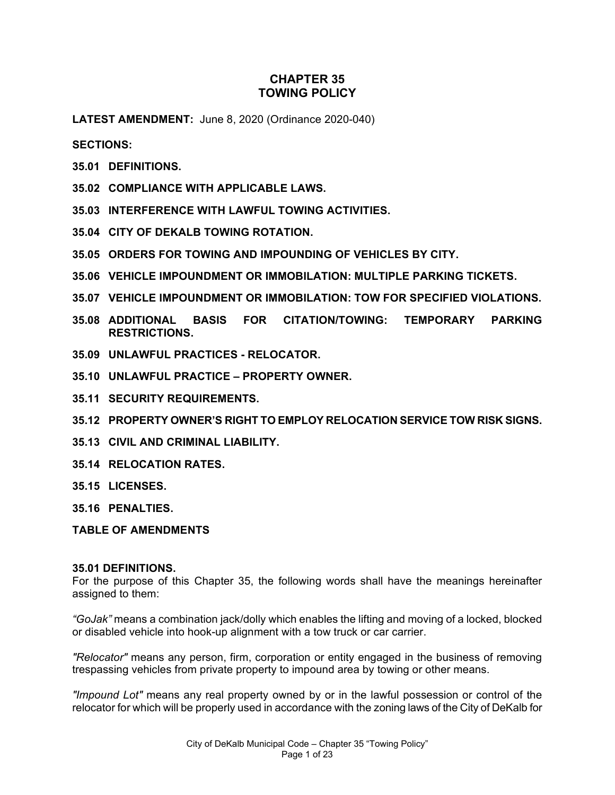# **CHAPTER 35 TOWING POLICY**

**LATEST AMENDMENT:** June 8, 2020 (Ordinance 2020-040)

**SECTIONS:**

- **35.01 DEFINITIONS.**
- **35.02 COMPLIANCE WITH APPLICABLE LAWS.**
- **35.03 INTERFERENCE WITH LAWFUL TOWING ACTIVITIES.**
- **35.04 CITY OF DEKALB TOWING ROTATION.**
- **35.05 ORDERS FOR TOWING AND IMPOUNDING OF VEHICLES BY CITY.**
- **35.06 VEHICLE IMPOUNDMENT OR IMMOBILATION: MULTIPLE PARKING TICKETS.**
- **35.07 VEHICLE IMPOUNDMENT OR IMMOBILATION: TOW FOR SPECIFIED VIOLATIONS.**
- **35.08 ADDITIONAL BASIS FOR CITATION/TOWING: TEMPORARY PARKING RESTRICTIONS.**
- **35.09 UNLAWFUL PRACTICES - RELOCATOR.**
- **35.10 UNLAWFUL PRACTICE – PROPERTY OWNER.**
- **35.11 SECURITY REQUIREMENTS.**
- **35.12 PROPERTY OWNER'S RIGHT TO EMPLOY RELOCATION SERVICE TOW RISK SIGNS.**
- **35.13 CIVIL AND CRIMINAL LIABILITY.**
- **35.14 RELOCATION RATES.**
- **35.15 LICENSES.**
- **35.16 PENALTIES.**
- **TABLE OF AMENDMENTS**

#### **35.01 DEFINITIONS.**

For the purpose of this Chapter 35, the following words shall have the meanings hereinafter assigned to them:

*"GoJak"* means a combination jack/dolly which enables the lifting and moving of a locked, blocked or disabled vehicle into hook-up alignment with a tow truck or car carrier.

*"Relocator"* means any person, firm, corporation or entity engaged in the business of removing trespassing vehicles from private property to impound area by towing or other means.

*"Impound Lot"* means any real property owned by or in the lawful possession or control of the relocator for which will be properly used in accordance with the zoning laws of the City of DeKalb for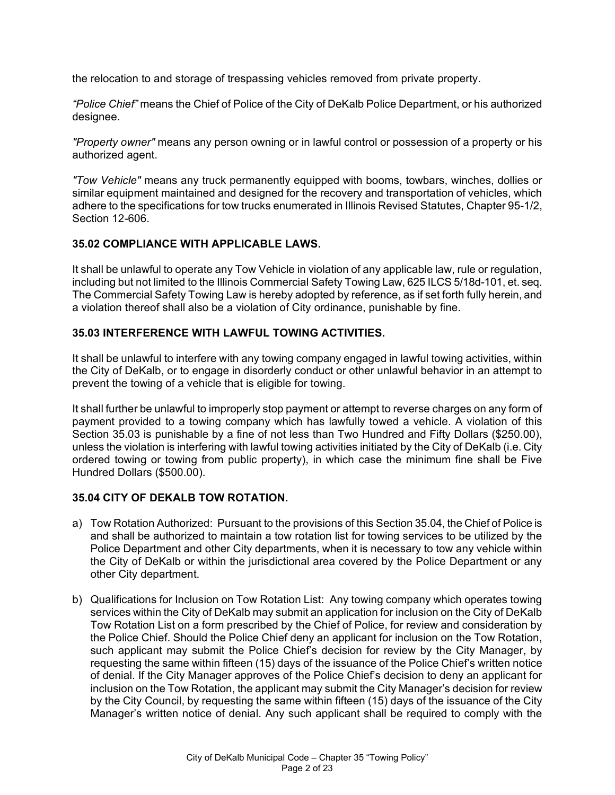the relocation to and storage of trespassing vehicles removed from private property.

*"Police Chief"* means the Chief of Police of the City of DeKalb Police Department, or his authorized designee.

*"Property owner"* means any person owning or in lawful control or possession of a property or his authorized agent.

*"Tow Vehicle"* means any truck permanently equipped with booms, towbars, winches, dollies or similar equipment maintained and designed for the recovery and transportation of vehicles, which adhere to the specifications for tow trucks enumerated in Illinois Revised Statutes, Chapter 95-1/2, Section 12-606.

#### **35.02 COMPLIANCE WITH APPLICABLE LAWS.**

It shall be unlawful to operate any Tow Vehicle in violation of any applicable law, rule or regulation, including but not limited to the Illinois Commercial Safety Towing Law, 625 ILCS 5/18d-101, et. seq. The Commercial Safety Towing Law is hereby adopted by reference, as if set forth fully herein, and a violation thereof shall also be a violation of City ordinance, punishable by fine.

## **35.03 INTERFERENCE WITH LAWFUL TOWING ACTIVITIES.**

It shall be unlawful to interfere with any towing company engaged in lawful towing activities, within the City of DeKalb, or to engage in disorderly conduct or other unlawful behavior in an attempt to prevent the towing of a vehicle that is eligible for towing.

It shall further be unlawful to improperly stop payment or attempt to reverse charges on any form of payment provided to a towing company which has lawfully towed a vehicle. A violation of this Section 35.03 is punishable by a fine of not less than Two Hundred and Fifty Dollars (\$250.00), unless the violation is interfering with lawful towing activities initiated by the City of DeKalb (i.e. City ordered towing or towing from public property), in which case the minimum fine shall be Five Hundred Dollars (\$500.00).

## **35.04 CITY OF DEKALB TOW ROTATION.**

- a) Tow Rotation Authorized: Pursuant to the provisions of this Section 35.04, the Chief of Police is and shall be authorized to maintain a tow rotation list for towing services to be utilized by the Police Department and other City departments, when it is necessary to tow any vehicle within the City of DeKalb or within the jurisdictional area covered by the Police Department or any other City department.
- b) Qualifications for Inclusion on Tow Rotation List: Any towing company which operates towing services within the City of DeKalb may submit an application for inclusion on the City of DeKalb Tow Rotation List on a form prescribed by the Chief of Police, for review and consideration by the Police Chief. Should the Police Chief deny an applicant for inclusion on the Tow Rotation, such applicant may submit the Police Chief's decision for review by the City Manager, by requesting the same within fifteen (15) days of the issuance of the Police Chief's written notice of denial. If the City Manager approves of the Police Chief's decision to deny an applicant for inclusion on the Tow Rotation, the applicant may submit the City Manager's decision for review by the City Council, by requesting the same within fifteen (15) days of the issuance of the City Manager's written notice of denial. Any such applicant shall be required to comply with the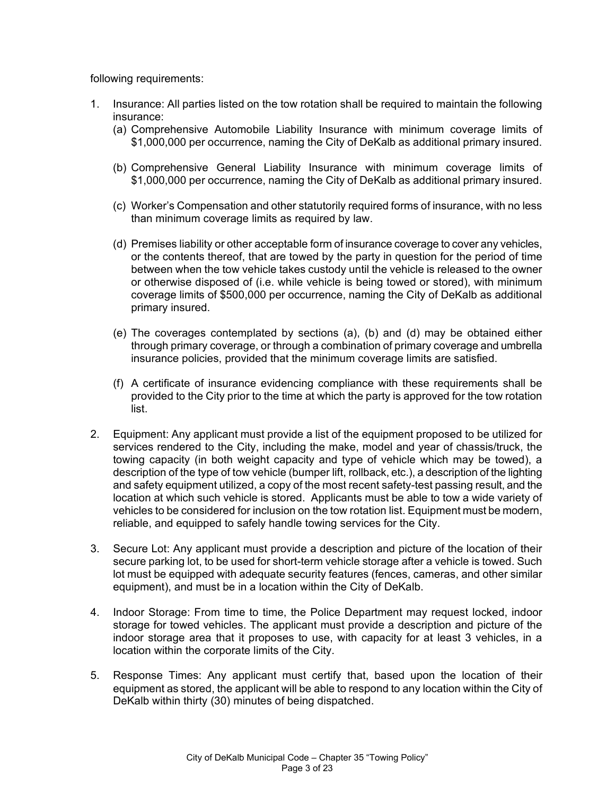following requirements:

- 1. Insurance: All parties listed on the tow rotation shall be required to maintain the following insurance:
	- (a) Comprehensive Automobile Liability Insurance with minimum coverage limits of \$1,000,000 per occurrence, naming the City of DeKalb as additional primary insured.
	- (b) Comprehensive General Liability Insurance with minimum coverage limits of \$1,000,000 per occurrence, naming the City of DeKalb as additional primary insured.
	- (c) Worker's Compensation and other statutorily required forms of insurance, with no less than minimum coverage limits as required by law.
	- (d) Premises liability or other acceptable form of insurance coverage to cover any vehicles, or the contents thereof, that are towed by the party in question for the period of time between when the tow vehicle takes custody until the vehicle is released to the owner or otherwise disposed of (i.e. while vehicle is being towed or stored), with minimum coverage limits of \$500,000 per occurrence, naming the City of DeKalb as additional primary insured.
	- (e) The coverages contemplated by sections (a), (b) and (d) may be obtained either through primary coverage, or through a combination of primary coverage and umbrella insurance policies, provided that the minimum coverage limits are satisfied.
	- (f) A certificate of insurance evidencing compliance with these requirements shall be provided to the City prior to the time at which the party is approved for the tow rotation list.
- 2. Equipment: Any applicant must provide a list of the equipment proposed to be utilized for services rendered to the City, including the make, model and year of chassis/truck, the towing capacity (in both weight capacity and type of vehicle which may be towed), a description of the type of tow vehicle (bumper lift, rollback, etc.), a description of the lighting and safety equipment utilized, a copy of the most recent safety-test passing result, and the location at which such vehicle is stored. Applicants must be able to tow a wide variety of vehicles to be considered for inclusion on the tow rotation list. Equipment must be modern, reliable, and equipped to safely handle towing services for the City.
- 3. Secure Lot: Any applicant must provide a description and picture of the location of their secure parking lot, to be used for short-term vehicle storage after a vehicle is towed. Such lot must be equipped with adequate security features (fences, cameras, and other similar equipment), and must be in a location within the City of DeKalb.
- 4. Indoor Storage: From time to time, the Police Department may request locked, indoor storage for towed vehicles. The applicant must provide a description and picture of the indoor storage area that it proposes to use, with capacity for at least 3 vehicles, in a location within the corporate limits of the City.
- 5. Response Times: Any applicant must certify that, based upon the location of their equipment as stored, the applicant will be able to respond to any location within the City of DeKalb within thirty (30) minutes of being dispatched.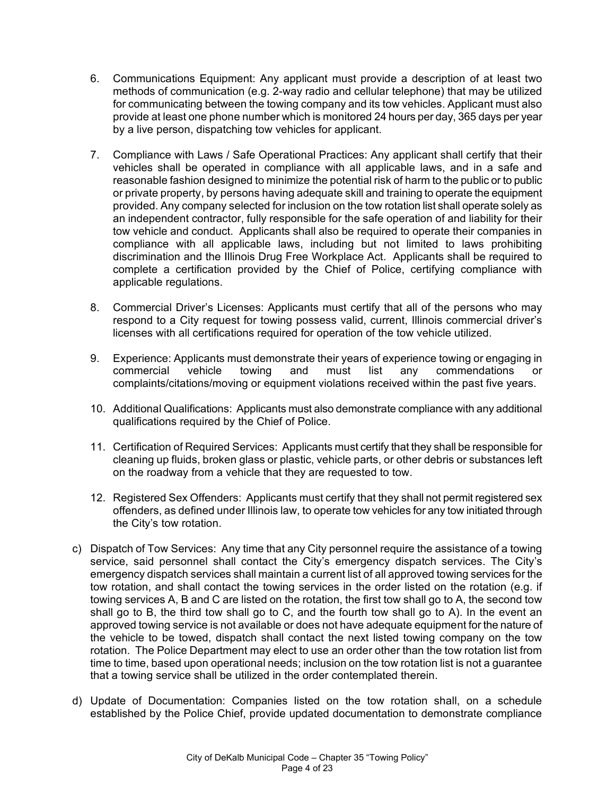- 6. Communications Equipment: Any applicant must provide a description of at least two methods of communication (e.g. 2-way radio and cellular telephone) that may be utilized for communicating between the towing company and its tow vehicles. Applicant must also provide at least one phone number which is monitored 24 hours per day, 365 days per year by a live person, dispatching tow vehicles for applicant.
- 7. Compliance with Laws / Safe Operational Practices: Any applicant shall certify that their vehicles shall be operated in compliance with all applicable laws, and in a safe and reasonable fashion designed to minimize the potential risk of harm to the public or to public or private property, by persons having adequate skill and training to operate the equipment provided. Any company selected for inclusion on the tow rotation list shall operate solely as an independent contractor, fully responsible for the safe operation of and liability for their tow vehicle and conduct. Applicants shall also be required to operate their companies in compliance with all applicable laws, including but not limited to laws prohibiting discrimination and the Illinois Drug Free Workplace Act. Applicants shall be required to complete a certification provided by the Chief of Police, certifying compliance with applicable regulations.
- 8. Commercial Driver's Licenses: Applicants must certify that all of the persons who may respond to a City request for towing possess valid, current, Illinois commercial driver's licenses with all certifications required for operation of the tow vehicle utilized.
- 9. Experience: Applicants must demonstrate their years of experience towing or engaging in commercial vehicle towing and must list any commendations or complaints/citations/moving or equipment violations received within the past five years.
- 10. Additional Qualifications: Applicants must also demonstrate compliance with any additional qualifications required by the Chief of Police.
- 11. Certification of Required Services: Applicants must certify that they shall be responsible for cleaning up fluids, broken glass or plastic, vehicle parts, or other debris or substances left on the roadway from a vehicle that they are requested to tow.
- 12. Registered Sex Offenders: Applicants must certify that they shall not permit registered sex offenders, as defined under Illinois law, to operate tow vehicles for any tow initiated through the City's tow rotation.
- c) Dispatch of Tow Services: Any time that any City personnel require the assistance of a towing service, said personnel shall contact the City's emergency dispatch services. The City's emergency dispatch services shall maintain a current list of all approved towing services for the tow rotation, and shall contact the towing services in the order listed on the rotation (e.g. if towing services A, B and C are listed on the rotation, the first tow shall go to A, the second tow shall go to B, the third tow shall go to C, and the fourth tow shall go to A). In the event an approved towing service is not available or does not have adequate equipment for the nature of the vehicle to be towed, dispatch shall contact the next listed towing company on the tow rotation. The Police Department may elect to use an order other than the tow rotation list from time to time, based upon operational needs; inclusion on the tow rotation list is not a guarantee that a towing service shall be utilized in the order contemplated therein.
- d) Update of Documentation: Companies listed on the tow rotation shall, on a schedule established by the Police Chief, provide updated documentation to demonstrate compliance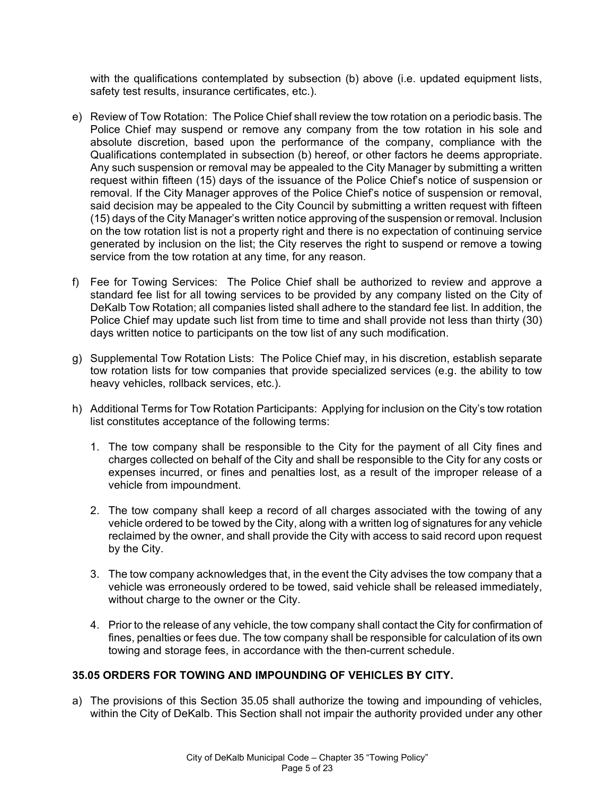with the qualifications contemplated by subsection (b) above (i.e. updated equipment lists, safety test results, insurance certificates, etc.).

- e) Review of Tow Rotation: The Police Chief shall review the tow rotation on a periodic basis. The Police Chief may suspend or remove any company from the tow rotation in his sole and absolute discretion, based upon the performance of the company, compliance with the Qualifications contemplated in subsection (b) hereof, or other factors he deems appropriate. Any such suspension or removal may be appealed to the City Manager by submitting a written request within fifteen (15) days of the issuance of the Police Chief's notice of suspension or removal. If the City Manager approves of the Police Chief's notice of suspension or removal, said decision may be appealed to the City Council by submitting a written request with fifteen (15) days of the City Manager's written notice approving of the suspension or removal. Inclusion on the tow rotation list is not a property right and there is no expectation of continuing service generated by inclusion on the list; the City reserves the right to suspend or remove a towing service from the tow rotation at any time, for any reason.
- f) Fee for Towing Services: The Police Chief shall be authorized to review and approve a standard fee list for all towing services to be provided by any company listed on the City of DeKalb Tow Rotation; all companies listed shall adhere to the standard fee list. In addition, the Police Chief may update such list from time to time and shall provide not less than thirty (30) days written notice to participants on the tow list of any such modification.
- g) Supplemental Tow Rotation Lists: The Police Chief may, in his discretion, establish separate tow rotation lists for tow companies that provide specialized services (e.g. the ability to tow heavy vehicles, rollback services, etc.).
- h) Additional Terms for Tow Rotation Participants: Applying for inclusion on the City's tow rotation list constitutes acceptance of the following terms:
	- 1. The tow company shall be responsible to the City for the payment of all City fines and charges collected on behalf of the City and shall be responsible to the City for any costs or expenses incurred, or fines and penalties lost, as a result of the improper release of a vehicle from impoundment.
	- 2. The tow company shall keep a record of all charges associated with the towing of any vehicle ordered to be towed by the City, along with a written log of signatures for any vehicle reclaimed by the owner, and shall provide the City with access to said record upon request by the City.
	- 3. The tow company acknowledges that, in the event the City advises the tow company that a vehicle was erroneously ordered to be towed, said vehicle shall be released immediately, without charge to the owner or the City.
	- 4. Prior to the release of any vehicle, the tow company shall contact the City for confirmation of fines, penalties or fees due. The tow company shall be responsible for calculation of its own towing and storage fees, in accordance with the then-current schedule.

## **35.05 ORDERS FOR TOWING AND IMPOUNDING OF VEHICLES BY CITY.**

a) The provisions of this Section 35.05 shall authorize the towing and impounding of vehicles, within the City of DeKalb. This Section shall not impair the authority provided under any other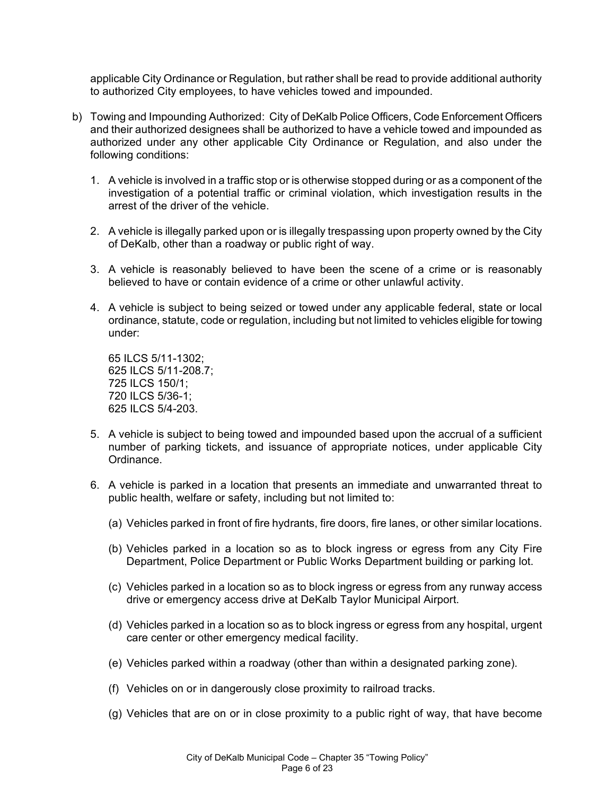applicable City Ordinance or Regulation, but rather shall be read to provide additional authority to authorized City employees, to have vehicles towed and impounded.

- b) Towing and Impounding Authorized: City of DeKalb Police Officers, Code Enforcement Officers and their authorized designees shall be authorized to have a vehicle towed and impounded as authorized under any other applicable City Ordinance or Regulation, and also under the following conditions:
	- 1. A vehicle is involved in a traffic stop or is otherwise stopped during or as a component of the investigation of a potential traffic or criminal violation, which investigation results in the arrest of the driver of the vehicle.
	- 2. A vehicle is illegally parked upon or is illegally trespassing upon property owned by the City of DeKalb, other than a roadway or public right of way.
	- 3. A vehicle is reasonably believed to have been the scene of a crime or is reasonably believed to have or contain evidence of a crime or other unlawful activity.
	- 4. A vehicle is subject to being seized or towed under any applicable federal, state or local ordinance, statute, code or regulation, including but not limited to vehicles eligible for towing under:

65 ILCS 5/11-1302; 625 ILCS 5/11-208.7; 725 ILCS 150/1; 720 ILCS 5/36-1; 625 ILCS 5/4-203.

- 5. A vehicle is subject to being towed and impounded based upon the accrual of a sufficient number of parking tickets, and issuance of appropriate notices, under applicable City Ordinance.
- 6. A vehicle is parked in a location that presents an immediate and unwarranted threat to public health, welfare or safety, including but not limited to:
	- (a) Vehicles parked in front of fire hydrants, fire doors, fire lanes, or other similar locations.
	- (b) Vehicles parked in a location so as to block ingress or egress from any City Fire Department, Police Department or Public Works Department building or parking lot.
	- (c) Vehicles parked in a location so as to block ingress or egress from any runway access drive or emergency access drive at DeKalb Taylor Municipal Airport.
	- (d) Vehicles parked in a location so as to block ingress or egress from any hospital, urgent care center or other emergency medical facility.
	- (e) Vehicles parked within a roadway (other than within a designated parking zone).
	- (f) Vehicles on or in dangerously close proximity to railroad tracks.
	- (g) Vehicles that are on or in close proximity to a public right of way, that have become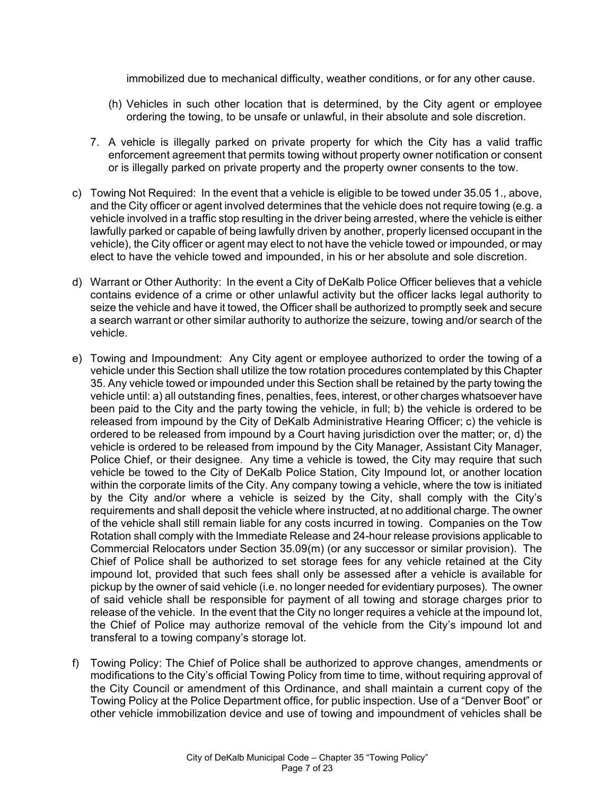immobilized due to mechanical difficulty, weather conditions, or for any other cause.

- (h) Vehicles in such other location that is determined, by the City agent or employee ordering the towing, to be unsafe or unlawful, in their absolute and sole discretion.
- 7. A vehicle is illegally parked on private property for which the City has a valid traffic enforcement agreement that permits towing without property owner notification or consent or is illegally parked on private property and the property owner consents to the tow.
- c) Towing Not Required: In the event that a vehicle is eligible to be towed under 35.05 1., above, and the City officer or agent involved determines that the vehicle does not require towing (e.g. a vehicle involved in a traffic stop resulting in the driver being arrested, where the vehicle is either lawfully parked or capable of being lawfully driven by another, properly licensed occupant in the vehicle), the City officer or agent may elect to not have the vehicle towed or impounded, or may elect to have the vehicle towed and impounded, in his or her absolute and sole discretion.
- d) Warrant or Other Authority: In the event a City of DeKalb Police Officer believes that a vehicle contains evidence of a crime or other unlawful activity but the officer lacks legal authority to seize the vehicle and have it towed, the Officer shall be authorized to promptly seek and secure a search warrant or other similar authority to authorize the seizure, towing and/or search of the vehicle.
- e) Towing and Impoundment: Any City agent or employee authorized to order the towing of a vehicle under this Section shall utilize the tow rotation procedures contemplated by this Chapter 35. Any vehicle towed or impounded under this Section shall be retained by the party towing the vehicle until: a) all outstanding fines, penalties, fees, interest, or other charges whatsoever have been paid to the City and the party towing the vehicle, in full; b) the vehicle is ordered to be released from impound by the City of DeKalb Administrative Hearing Officer; c) the vehicle is ordered to be released from impound by a Court having jurisdiction over the matter; or, d) the vehicle is ordered to be released from impound by the City Manager, Assistant City Manager, Police Chief, or their designee. Any time a vehicle is towed, the City may require that such vehicle be towed to the City of DeKalb Police Station, City Impound lot, or another location within the corporate limits of the City. Any company towing a vehicle, where the tow is initiated by the City and/or where a vehicle is seized by the City, shall comply with the City's requirements and shall deposit the vehicle where instructed, at no additional charge. The owner of the vehicle shall still remain liable for any costs incurred in towing. Companies on the Tow Rotation shall comply with the Immediate Release and 24-hour release provisions applicable to Commercial Relocators under Section 35.09(m) (or any successor or similar provision). The Chief of Police shall be authorized to set storage fees for any vehicle retained at the City impound lot, provided that such fees shall only be assessed after a vehicle is available for pickup by the owner of said vehicle (i.e. no longer needed for evidentiary purposes). The owner of said vehicle shall be responsible for payment of all towing and storage charges prior to release of the vehicle. In the event that the City no longer requires a vehicle at the impound lot, the Chief of Police may authorize removal of the vehicle from the City's impound lot and transferal to a towing company's storage lot.
- f) Towing Policy: The Chief of Police shall be authorized to approve changes, amendments or modifications to the City's official Towing Policy from time to time, without requiring approval of the City Council or amendment of this Ordinance, and shall maintain a current copy of the Towing Policy at the Police Department office, for public inspection. Use of a "Denver Boot" or other vehicle immobilization device and use of towing and impoundment of vehicles shall be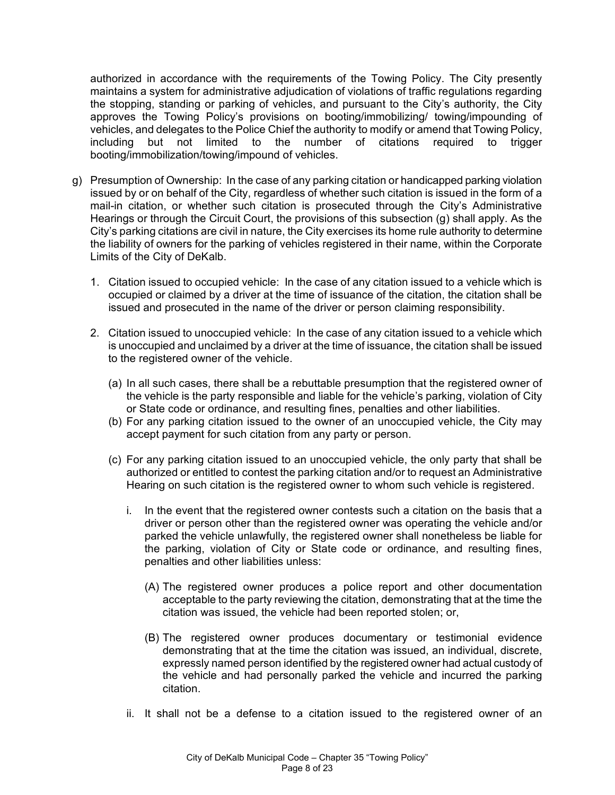authorized in accordance with the requirements of the Towing Policy. The City presently maintains a system for administrative adjudication of violations of traffic regulations regarding the stopping, standing or parking of vehicles, and pursuant to the City's authority, the City approves the Towing Policy's provisions on booting/immobilizing/ towing/impounding of vehicles, and delegates to the Police Chief the authority to modify or amend that Towing Policy, including but not limited to the number of citations required to trigger booting/immobilization/towing/impound of vehicles.

- g) Presumption of Ownership: In the case of any parking citation or handicapped parking violation issued by or on behalf of the City, regardless of whether such citation is issued in the form of a mail-in citation, or whether such citation is prosecuted through the City's Administrative Hearings or through the Circuit Court, the provisions of this subsection (g) shall apply. As the City's parking citations are civil in nature, the City exercises its home rule authority to determine the liability of owners for the parking of vehicles registered in their name, within the Corporate Limits of the City of DeKalb.
	- 1. Citation issued to occupied vehicle: In the case of any citation issued to a vehicle which is occupied or claimed by a driver at the time of issuance of the citation, the citation shall be issued and prosecuted in the name of the driver or person claiming responsibility.
	- 2. Citation issued to unoccupied vehicle: In the case of any citation issued to a vehicle which is unoccupied and unclaimed by a driver at the time of issuance, the citation shall be issued to the registered owner of the vehicle.
		- (a) In all such cases, there shall be a rebuttable presumption that the registered owner of the vehicle is the party responsible and liable for the vehicle's parking, violation of City or State code or ordinance, and resulting fines, penalties and other liabilities.
		- (b) For any parking citation issued to the owner of an unoccupied vehicle, the City may accept payment for such citation from any party or person.
		- (c) For any parking citation issued to an unoccupied vehicle, the only party that shall be authorized or entitled to contest the parking citation and/or to request an Administrative Hearing on such citation is the registered owner to whom such vehicle is registered.
			- i. In the event that the registered owner contests such a citation on the basis that a driver or person other than the registered owner was operating the vehicle and/or parked the vehicle unlawfully, the registered owner shall nonetheless be liable for the parking, violation of City or State code or ordinance, and resulting fines, penalties and other liabilities unless:
				- (A) The registered owner produces a police report and other documentation acceptable to the party reviewing the citation, demonstrating that at the time the citation was issued, the vehicle had been reported stolen; or,
				- (B) The registered owner produces documentary or testimonial evidence demonstrating that at the time the citation was issued, an individual, discrete, expressly named person identified by the registered owner had actual custody of the vehicle and had personally parked the vehicle and incurred the parking citation.
			- ii. It shall not be a defense to a citation issued to the registered owner of an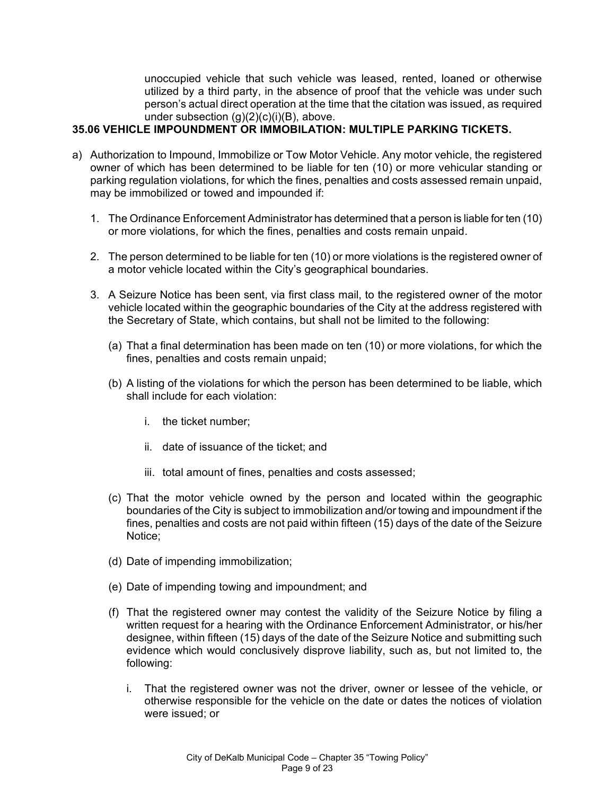unoccupied vehicle that such vehicle was leased, rented, loaned or otherwise utilized by a third party, in the absence of proof that the vehicle was under such person's actual direct operation at the time that the citation was issued, as required under subsection (g)(2)(c)(i)(B), above.

# **35.06 VEHICLE IMPOUNDMENT OR IMMOBILATION: MULTIPLE PARKING TICKETS.**

- a) Authorization to Impound, Immobilize or Tow Motor Vehicle. Any motor vehicle, the registered owner of which has been determined to be liable for ten (10) or more vehicular standing or parking regulation violations, for which the fines, penalties and costs assessed remain unpaid, may be immobilized or towed and impounded if:
	- 1. The Ordinance Enforcement Administrator has determined that a person is liable for ten (10) or more violations, for which the fines, penalties and costs remain unpaid.
	- 2. The person determined to be liable for ten (10) or more violations is the registered owner of a motor vehicle located within the City's geographical boundaries.
	- 3. A Seizure Notice has been sent, via first class mail, to the registered owner of the motor vehicle located within the geographic boundaries of the City at the address registered with the Secretary of State, which contains, but shall not be limited to the following:
		- (a) That a final determination has been made on ten (10) or more violations, for which the fines, penalties and costs remain unpaid;
		- (b) A listing of the violations for which the person has been determined to be liable, which shall include for each violation:
			- i. the ticket number;
			- ii. date of issuance of the ticket; and
			- iii. total amount of fines, penalties and costs assessed;
		- (c) That the motor vehicle owned by the person and located within the geographic boundaries of the City is subject to immobilization and/or towing and impoundment if the fines, penalties and costs are not paid within fifteen (15) days of the date of the Seizure Notice;
		- (d) Date of impending immobilization;
		- (e) Date of impending towing and impoundment; and
		- (f) That the registered owner may contest the validity of the Seizure Notice by filing a written request for a hearing with the Ordinance Enforcement Administrator, or his/her designee, within fifteen (15) days of the date of the Seizure Notice and submitting such evidence which would conclusively disprove liability, such as, but not limited to, the following:
			- i. That the registered owner was not the driver, owner or lessee of the vehicle, or otherwise responsible for the vehicle on the date or dates the notices of violation were issued; or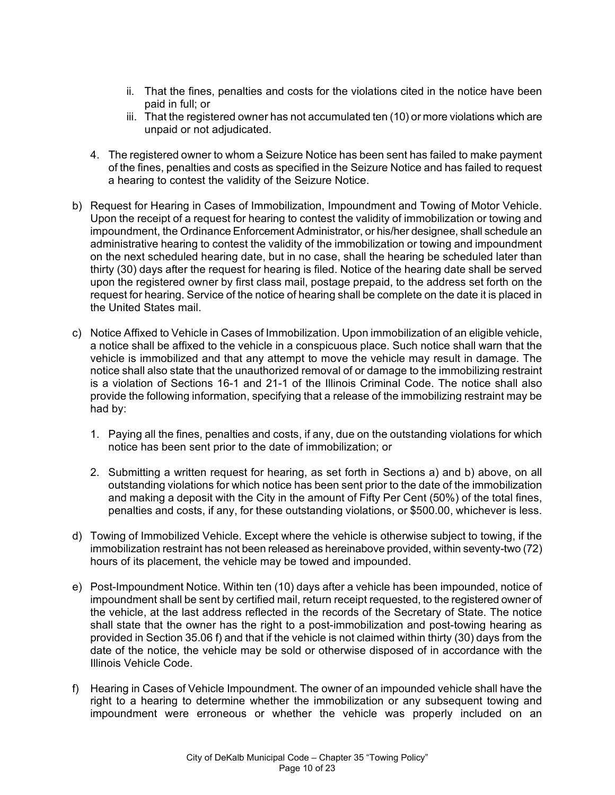- ii. That the fines, penalties and costs for the violations cited in the notice have been paid in full; or
- iii. That the registered owner has not accumulated ten (10) or more violations which are unpaid or not adjudicated.
- 4. The registered owner to whom a Seizure Notice has been sent has failed to make payment of the fines, penalties and costs as specified in the Seizure Notice and has failed to request a hearing to contest the validity of the Seizure Notice.
- b) Request for Hearing in Cases of Immobilization, Impoundment and Towing of Motor Vehicle. Upon the receipt of a request for hearing to contest the validity of immobilization or towing and impoundment, the Ordinance Enforcement Administrator, or his/her designee, shall schedule an administrative hearing to contest the validity of the immobilization or towing and impoundment on the next scheduled hearing date, but in no case, shall the hearing be scheduled later than thirty (30) days after the request for hearing is filed. Notice of the hearing date shall be served upon the registered owner by first class mail, postage prepaid, to the address set forth on the request for hearing. Service of the notice of hearing shall be complete on the date it is placed in the United States mail.
- c) Notice Affixed to Vehicle in Cases of Immobilization. Upon immobilization of an eligible vehicle, a notice shall be affixed to the vehicle in a conspicuous place. Such notice shall warn that the vehicle is immobilized and that any attempt to move the vehicle may result in damage. The notice shall also state that the unauthorized removal of or damage to the immobilizing restraint is a violation of Sections 16-1 and 21-1 of the Illinois Criminal Code. The notice shall also provide the following information, specifying that a release of the immobilizing restraint may be had by:
	- 1. Paying all the fines, penalties and costs, if any, due on the outstanding violations for which notice has been sent prior to the date of immobilization; or
	- 2. Submitting a written request for hearing, as set forth in Sections a) and b) above, on all outstanding violations for which notice has been sent prior to the date of the immobilization and making a deposit with the City in the amount of Fifty Per Cent (50%) of the total fines, penalties and costs, if any, for these outstanding violations, or \$500.00, whichever is less.
- d) Towing of Immobilized Vehicle. Except where the vehicle is otherwise subject to towing, if the immobilization restraint has not been released as hereinabove provided, within seventy-two (72) hours of its placement, the vehicle may be towed and impounded.
- e) Post-Impoundment Notice. Within ten (10) days after a vehicle has been impounded, notice of impoundment shall be sent by certified mail, return receipt requested, to the registered owner of the vehicle, at the last address reflected in the records of the Secretary of State. The notice shall state that the owner has the right to a post-immobilization and post-towing hearing as provided in Section 35.06 f) and that if the vehicle is not claimed within thirty (30) days from the date of the notice, the vehicle may be sold or otherwise disposed of in accordance with the Illinois Vehicle Code.
- f) Hearing in Cases of Vehicle Impoundment. The owner of an impounded vehicle shall have the right to a hearing to determine whether the immobilization or any subsequent towing and impoundment were erroneous or whether the vehicle was properly included on an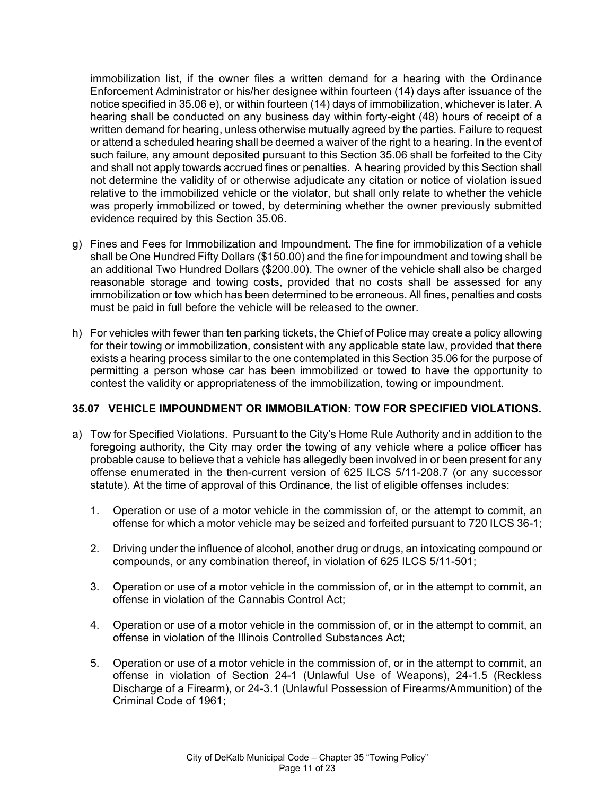immobilization list, if the owner files a written demand for a hearing with the Ordinance Enforcement Administrator or his/her designee within fourteen (14) days after issuance of the notice specified in 35.06 e), or within fourteen (14) days of immobilization, whichever is later. A hearing shall be conducted on any business day within forty-eight (48) hours of receipt of a written demand for hearing, unless otherwise mutually agreed by the parties. Failure to request or attend a scheduled hearing shall be deemed a waiver of the right to a hearing. In the event of such failure, any amount deposited pursuant to this Section 35.06 shall be forfeited to the City and shall not apply towards accrued fines or penalties. A hearing provided by this Section shall not determine the validity of or otherwise adjudicate any citation or notice of violation issued relative to the immobilized vehicle or the violator, but shall only relate to whether the vehicle was properly immobilized or towed, by determining whether the owner previously submitted evidence required by this Section 35.06.

- g) Fines and Fees for Immobilization and Impoundment. The fine for immobilization of a vehicle shall be One Hundred Fifty Dollars (\$150.00) and the fine for impoundment and towing shall be an additional Two Hundred Dollars (\$200.00). The owner of the vehicle shall also be charged reasonable storage and towing costs, provided that no costs shall be assessed for any immobilization or tow which has been determined to be erroneous. All fines, penalties and costs must be paid in full before the vehicle will be released to the owner.
- h) For vehicles with fewer than ten parking tickets, the Chief of Police may create a policy allowing for their towing or immobilization, consistent with any applicable state law, provided that there exists a hearing process similar to the one contemplated in this Section 35.06 for the purpose of permitting a person whose car has been immobilized or towed to have the opportunity to contest the validity or appropriateness of the immobilization, towing or impoundment.

## **35.07 VEHICLE IMPOUNDMENT OR IMMOBILATION: TOW FOR SPECIFIED VIOLATIONS.**

- a) Tow for Specified Violations. Pursuant to the City's Home Rule Authority and in addition to the foregoing authority, the City may order the towing of any vehicle where a police officer has probable cause to believe that a vehicle has allegedly been involved in or been present for any offense enumerated in the then-current version of 625 ILCS 5/11-208.7 (or any successor statute). At the time of approval of this Ordinance, the list of eligible offenses includes:
	- 1. Operation or use of a motor vehicle in the commission of, or the attempt to commit, an offense for which a motor vehicle may be seized and forfeited pursuant to 720 ILCS 36-1;
	- 2. Driving under the influence of alcohol, another drug or drugs, an intoxicating compound or compounds, or any combination thereof, in violation of 625 ILCS 5/11-501;
	- 3. Operation or use of a motor vehicle in the commission of, or in the attempt to commit, an offense in violation of the Cannabis Control Act;
	- 4. Operation or use of a motor vehicle in the commission of, or in the attempt to commit, an offense in violation of the Illinois Controlled Substances Act;
	- 5. Operation or use of a motor vehicle in the commission of, or in the attempt to commit, an offense in violation of Section 24-1 (Unlawful Use of Weapons), 24-1.5 (Reckless Discharge of a Firearm), or 24-3.1 (Unlawful Possession of Firearms/Ammunition) of the Criminal Code of 1961;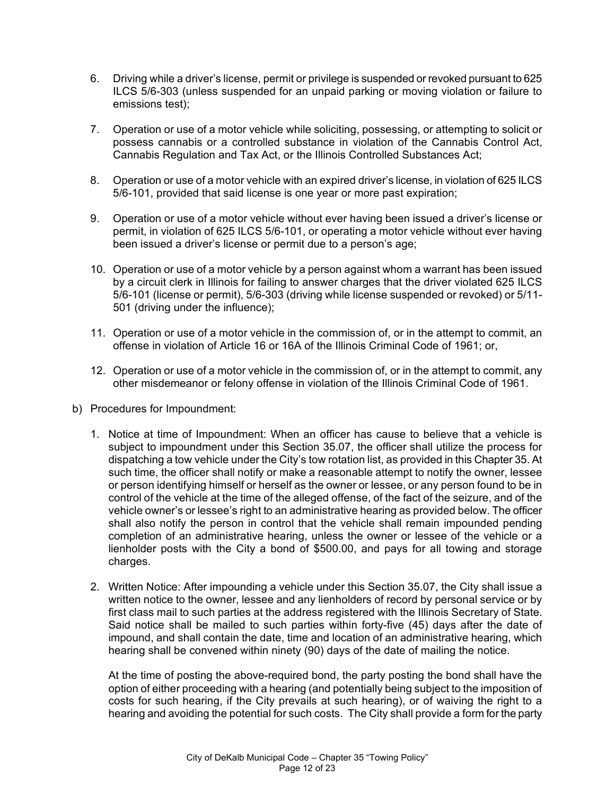- 6. Driving while a driver's license, permit or privilege is suspended or revoked pursuant to 625 ILCS 5/6-303 (unless suspended for an unpaid parking or moving violation or failure to emissions test);
- 7. Operation or use of a motor vehicle while soliciting, possessing, or attempting to solicit or possess cannabis or a controlled substance in violation of the Cannabis Control Act, Cannabis Regulation and Tax Act, or the Illinois Controlled Substances Act;
- 8. Operation or use of a motor vehicle with an expired driver's license, in violation of 625 ILCS 5/6-101, provided that said license is one year or more past expiration;
- 9. Operation or use of a motor vehicle without ever having been issued a driver's license or permit, in violation of 625 ILCS 5/6-101, or operating a motor vehicle without ever having been issued a driver's license or permit due to a person's age;
- 10. Operation or use of a motor vehicle by a person against whom a warrant has been issued by a circuit clerk in Illinois for failing to answer charges that the driver violated 625 ILCS 5/6-101 (license or permit), 5/6-303 (driving while license suspended or revoked) or 5/11- 501 (driving under the influence);
- 11. Operation or use of a motor vehicle in the commission of, or in the attempt to commit, an offense in violation of Article 16 or 16A of the Illinois Criminal Code of 1961; or,
- 12. Operation or use of a motor vehicle in the commission of, or in the attempt to commit, any other misdemeanor or felony offense in violation of the Illinois Criminal Code of 1961.
- b) Procedures for Impoundment:
	- 1. Notice at time of Impoundment: When an officer has cause to believe that a vehicle is subject to impoundment under this Section 35.07, the officer shall utilize the process for dispatching a tow vehicle under the City's tow rotation list, as provided in this Chapter 35. At such time, the officer shall notify or make a reasonable attempt to notify the owner, lessee or person identifying himself or herself as the owner or lessee, or any person found to be in control of the vehicle at the time of the alleged offense, of the fact of the seizure, and of the vehicle owner's or lessee's right to an administrative hearing as provided below. The officer shall also notify the person in control that the vehicle shall remain impounded pending completion of an administrative hearing, unless the owner or lessee of the vehicle or a lienholder posts with the City a bond of \$500.00, and pays for all towing and storage charges.
	- 2. Written Notice: After impounding a vehicle under this Section 35.07, the City shall issue a written notice to the owner, lessee and any lienholders of record by personal service or by first class mail to such parties at the address registered with the Illinois Secretary of State. Said notice shall be mailed to such parties within forty-five (45) days after the date of impound, and shall contain the date, time and location of an administrative hearing, which hearing shall be convened within ninety (90) days of the date of mailing the notice.

At the time of posting the above-required bond, the party posting the bond shall have the option of either proceeding with a hearing (and potentially being subject to the imposition of costs for such hearing, if the City prevails at such hearing), or of waiving the right to a hearing and avoiding the potential for such costs. The City shall provide a form for the party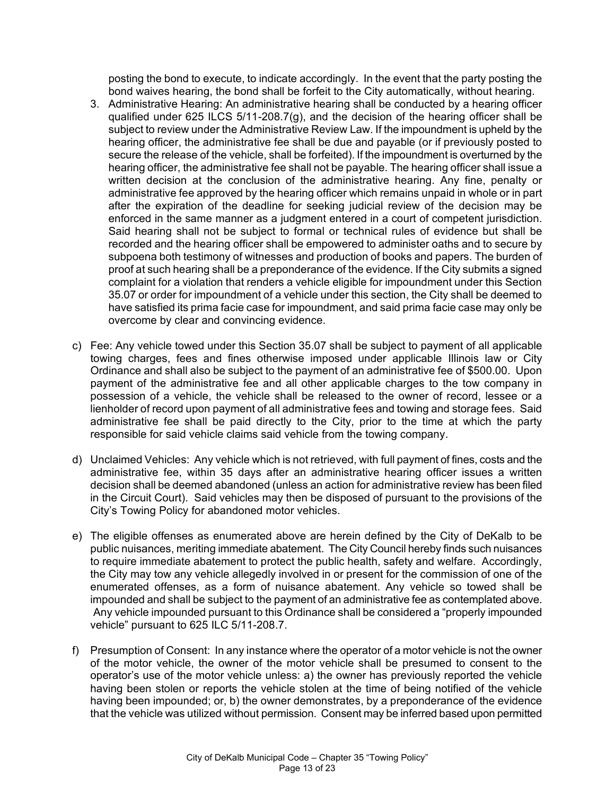posting the bond to execute, to indicate accordingly. In the event that the party posting the bond waives hearing, the bond shall be forfeit to the City automatically, without hearing.

- 3. Administrative Hearing: An administrative hearing shall be conducted by a hearing officer qualified under 625 ILCS 5/11-208.7(g), and the decision of the hearing officer shall be subject to review under the Administrative Review Law. If the impoundment is upheld by the hearing officer, the administrative fee shall be due and payable (or if previously posted to secure the release of the vehicle, shall be forfeited). If the impoundment is overturned by the hearing officer, the administrative fee shall not be payable. The hearing officer shall issue a written decision at the conclusion of the administrative hearing. Any fine, penalty or administrative fee approved by the hearing officer which remains unpaid in whole or in part after the expiration of the deadline for seeking judicial review of the decision may be enforced in the same manner as a judgment entered in a court of competent jurisdiction. Said hearing shall not be subject to formal or technical rules of evidence but shall be recorded and the hearing officer shall be empowered to administer oaths and to secure by subpoena both testimony of witnesses and production of books and papers. The burden of proof at such hearing shall be a preponderance of the evidence. If the City submits a signed complaint for a violation that renders a vehicle eligible for impoundment under this Section 35.07 or order for impoundment of a vehicle under this section, the City shall be deemed to have satisfied its prima facie case for impoundment, and said prima facie case may only be overcome by clear and convincing evidence.
- c) Fee: Any vehicle towed under this Section 35.07 shall be subject to payment of all applicable towing charges, fees and fines otherwise imposed under applicable Illinois law or City Ordinance and shall also be subject to the payment of an administrative fee of \$500.00. Upon payment of the administrative fee and all other applicable charges to the tow company in possession of a vehicle, the vehicle shall be released to the owner of record, lessee or a lienholder of record upon payment of all administrative fees and towing and storage fees. Said administrative fee shall be paid directly to the City, prior to the time at which the party responsible for said vehicle claims said vehicle from the towing company.
- d) Unclaimed Vehicles: Any vehicle which is not retrieved, with full payment of fines, costs and the administrative fee, within 35 days after an administrative hearing officer issues a written decision shall be deemed abandoned (unless an action for administrative review has been filed in the Circuit Court). Said vehicles may then be disposed of pursuant to the provisions of the City's Towing Policy for abandoned motor vehicles.
- e) The eligible offenses as enumerated above are herein defined by the City of DeKalb to be public nuisances, meriting immediate abatement. The City Council hereby finds such nuisances to require immediate abatement to protect the public health, safety and welfare. Accordingly, the City may tow any vehicle allegedly involved in or present for the commission of one of the enumerated offenses, as a form of nuisance abatement. Any vehicle so towed shall be impounded and shall be subject to the payment of an administrative fee as contemplated above. Any vehicle impounded pursuant to this Ordinance shall be considered a "properly impounded vehicle" pursuant to 625 ILC 5/11-208.7.
- f) Presumption of Consent: In any instance where the operator of a motor vehicle is not the owner of the motor vehicle, the owner of the motor vehicle shall be presumed to consent to the operator's use of the motor vehicle unless: a) the owner has previously reported the vehicle having been stolen or reports the vehicle stolen at the time of being notified of the vehicle having been impounded; or, b) the owner demonstrates, by a preponderance of the evidence that the vehicle was utilized without permission. Consent may be inferred based upon permitted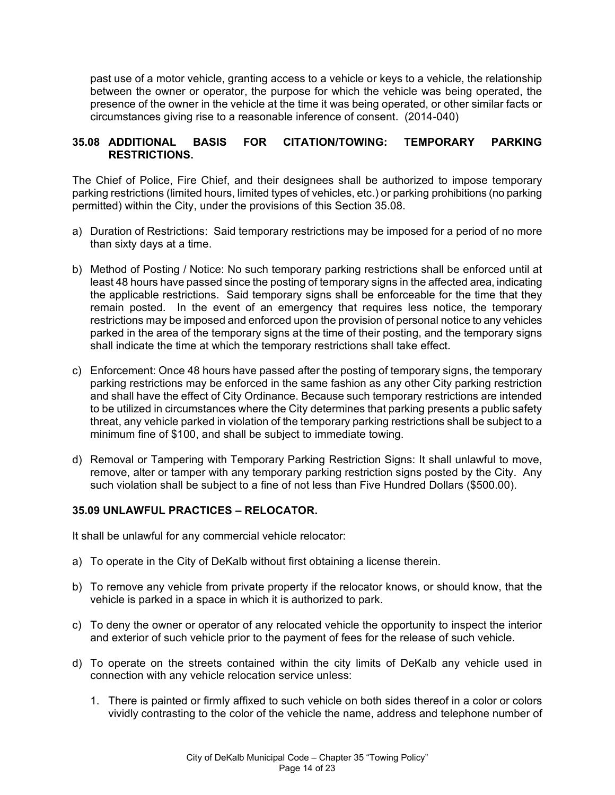past use of a motor vehicle, granting access to a vehicle or keys to a vehicle, the relationship between the owner or operator, the purpose for which the vehicle was being operated, the presence of the owner in the vehicle at the time it was being operated, or other similar facts or circumstances giving rise to a reasonable inference of consent. (2014-040)

## **35.08 ADDITIONAL BASIS FOR CITATION/TOWING: TEMPORARY PARKING RESTRICTIONS.**

The Chief of Police, Fire Chief, and their designees shall be authorized to impose temporary parking restrictions (limited hours, limited types of vehicles, etc.) or parking prohibitions (no parking permitted) within the City, under the provisions of this Section 35.08.

- a) Duration of Restrictions: Said temporary restrictions may be imposed for a period of no more than sixty days at a time.
- b) Method of Posting / Notice: No such temporary parking restrictions shall be enforced until at least 48 hours have passed since the posting of temporary signs in the affected area, indicating the applicable restrictions. Said temporary signs shall be enforceable for the time that they remain posted. In the event of an emergency that requires less notice, the temporary restrictions may be imposed and enforced upon the provision of personal notice to any vehicles parked in the area of the temporary signs at the time of their posting, and the temporary signs shall indicate the time at which the temporary restrictions shall take effect.
- c) Enforcement: Once 48 hours have passed after the posting of temporary signs, the temporary parking restrictions may be enforced in the same fashion as any other City parking restriction and shall have the effect of City Ordinance. Because such temporary restrictions are intended to be utilized in circumstances where the City determines that parking presents a public safety threat, any vehicle parked in violation of the temporary parking restrictions shall be subject to a minimum fine of \$100, and shall be subject to immediate towing.
- d) Removal or Tampering with Temporary Parking Restriction Signs: It shall unlawful to move, remove, alter or tamper with any temporary parking restriction signs posted by the City. Any such violation shall be subject to a fine of not less than Five Hundred Dollars (\$500.00).

## **35.09 UNLAWFUL PRACTICES – RELOCATOR.**

It shall be unlawful for any commercial vehicle relocator:

- a) To operate in the City of DeKalb without first obtaining a license therein.
- b) To remove any vehicle from private property if the relocator knows, or should know, that the vehicle is parked in a space in which it is authorized to park.
- c) To deny the owner or operator of any relocated vehicle the opportunity to inspect the interior and exterior of such vehicle prior to the payment of fees for the release of such vehicle.
- d) To operate on the streets contained within the city limits of DeKalb any vehicle used in connection with any vehicle relocation service unless:
	- 1. There is painted or firmly affixed to such vehicle on both sides thereof in a color or colors vividly contrasting to the color of the vehicle the name, address and telephone number of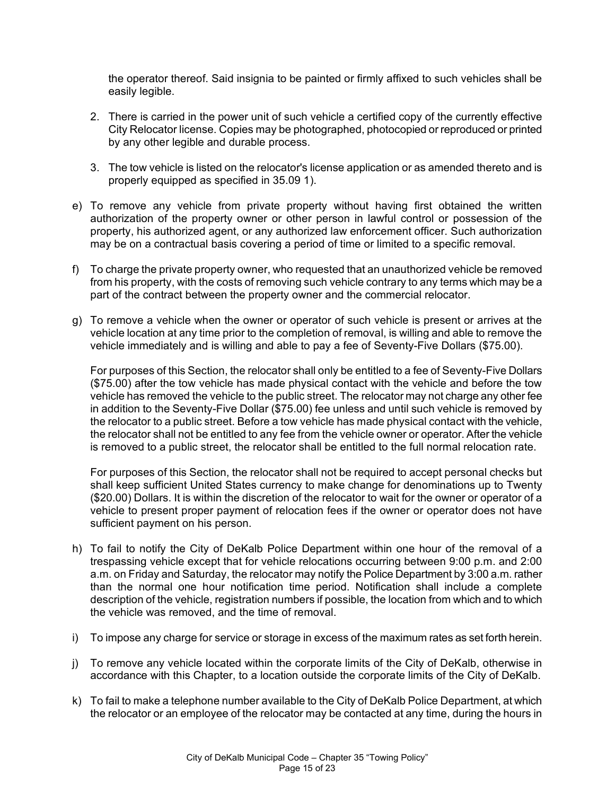the operator thereof. Said insignia to be painted or firmly affixed to such vehicles shall be easily legible.

- 2. There is carried in the power unit of such vehicle a certified copy of the currently effective City Relocator license. Copies may be photographed, photocopied or reproduced or printed by any other legible and durable process.
- 3. The tow vehicle is listed on the relocator's license application or as amended thereto and is properly equipped as specified in 35.09 1).
- e) To remove any vehicle from private property without having first obtained the written authorization of the property owner or other person in lawful control or possession of the property, his authorized agent, or any authorized law enforcement officer. Such authorization may be on a contractual basis covering a period of time or limited to a specific removal.
- f) To charge the private property owner, who requested that an unauthorized vehicle be removed from his property, with the costs of removing such vehicle contrary to any terms which may be a part of the contract between the property owner and the commercial relocator.
- g) To remove a vehicle when the owner or operator of such vehicle is present or arrives at the vehicle location at any time prior to the completion of removal, is willing and able to remove the vehicle immediately and is willing and able to pay a fee of Seventy-Five Dollars (\$75.00).

For purposes of this Section, the relocator shall only be entitled to a fee of Seventy-Five Dollars (\$75.00) after the tow vehicle has made physical contact with the vehicle and before the tow vehicle has removed the vehicle to the public street. The relocator may not charge any other fee in addition to the Seventy-Five Dollar (\$75.00) fee unless and until such vehicle is removed by the relocator to a public street. Before a tow vehicle has made physical contact with the vehicle, the relocator shall not be entitled to any fee from the vehicle owner or operator. After the vehicle is removed to a public street, the relocator shall be entitled to the full normal relocation rate.

For purposes of this Section, the relocator shall not be required to accept personal checks but shall keep sufficient United States currency to make change for denominations up to Twenty (\$20.00) Dollars. It is within the discretion of the relocator to wait for the owner or operator of a vehicle to present proper payment of relocation fees if the owner or operator does not have sufficient payment on his person.

- h) To fail to notify the City of DeKalb Police Department within one hour of the removal of a trespassing vehicle except that for vehicle relocations occurring between 9:00 p.m. and 2:00 a.m. on Friday and Saturday, the relocator may notify the Police Department by 3:00 a.m. rather than the normal one hour notification time period. Notification shall include a complete description of the vehicle, registration numbers if possible, the location from which and to which the vehicle was removed, and the time of removal.
- i) To impose any charge for service or storage in excess of the maximum rates as set forth herein.
- j) To remove any vehicle located within the corporate limits of the City of DeKalb, otherwise in accordance with this Chapter, to a location outside the corporate limits of the City of DeKalb.
- k) To fail to make a telephone number available to the City of DeKalb Police Department, at which the relocator or an employee of the relocator may be contacted at any time, during the hours in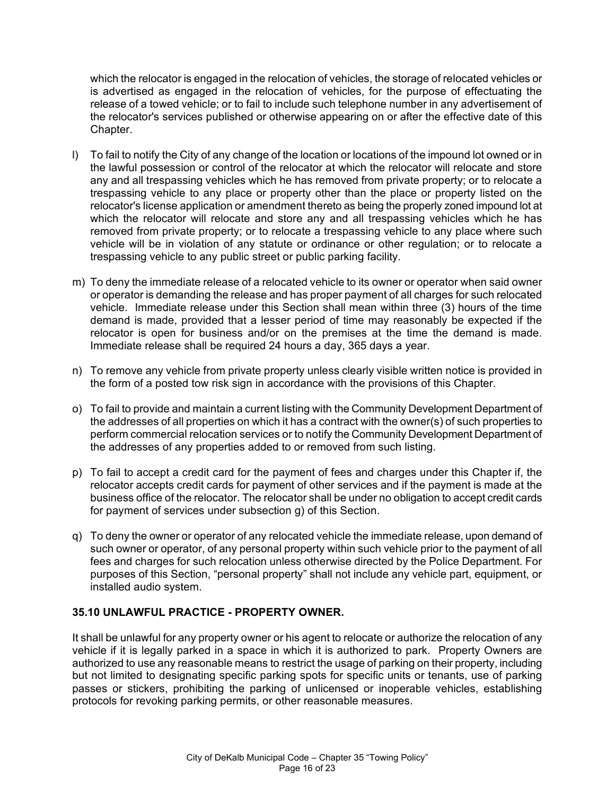which the relocator is engaged in the relocation of vehicles, the storage of relocated vehicles or is advertised as engaged in the relocation of vehicles, for the purpose of effectuating the release of a towed vehicle; or to fail to include such telephone number in any advertisement of the relocator's services published or otherwise appearing on or after the effective date of this Chapter.

- l) To fail to notify the City of any change of the location or locations of the impound lot owned or in the lawful possession or control of the relocator at which the relocator will relocate and store any and all trespassing vehicles which he has removed from private property; or to relocate a trespassing vehicle to any place or property other than the place or property listed on the relocator's license application or amendment thereto as being the properly zoned impound lot at which the relocator will relocate and store any and all trespassing vehicles which he has removed from private property; or to relocate a trespassing vehicle to any place where such vehicle will be in violation of any statute or ordinance or other regulation; or to relocate a trespassing vehicle to any public street or public parking facility.
- m) To deny the immediate release of a relocated vehicle to its owner or operator when said owner or operator is demanding the release and has proper payment of all charges for such relocated vehicle. Immediate release under this Section shall mean within three (3) hours of the time demand is made, provided that a lesser period of time may reasonably be expected if the relocator is open for business and/or on the premises at the time the demand is made. Immediate release shall be required 24 hours a day, 365 days a year.
- n) To remove any vehicle from private property unless clearly visible written notice is provided in the form of a posted tow risk sign in accordance with the provisions of this Chapter.
- o) To fail to provide and maintain a current listing with the Community Development Department of the addresses of all properties on which it has a contract with the owner(s) of such properties to perform commercial relocation services or to notify the Community Development Department of the addresses of any properties added to or removed from such listing.
- p) To fail to accept a credit card for the payment of fees and charges under this Chapter if, the relocator accepts credit cards for payment of other services and if the payment is made at the business office of the relocator. The relocator shall be under no obligation to accept credit cards for payment of services under subsection g) of this Section.
- q) To deny the owner or operator of any relocated vehicle the immediate release, upon demand of such owner or operator, of any personal property within such vehicle prior to the payment of all fees and charges for such relocation unless otherwise directed by the Police Department. For purposes of this Section, "personal property" shall not include any vehicle part, equipment, or installed audio system.

## **35.10 UNLAWFUL PRACTICE - PROPERTY OWNER.**

It shall be unlawful for any property owner or his agent to relocate or authorize the relocation of any vehicle if it is legally parked in a space in which it is authorized to park. Property Owners are authorized to use any reasonable means to restrict the usage of parking on their property, including but not limited to designating specific parking spots for specific units or tenants, use of parking passes or stickers, prohibiting the parking of unlicensed or inoperable vehicles, establishing protocols for revoking parking permits, or other reasonable measures.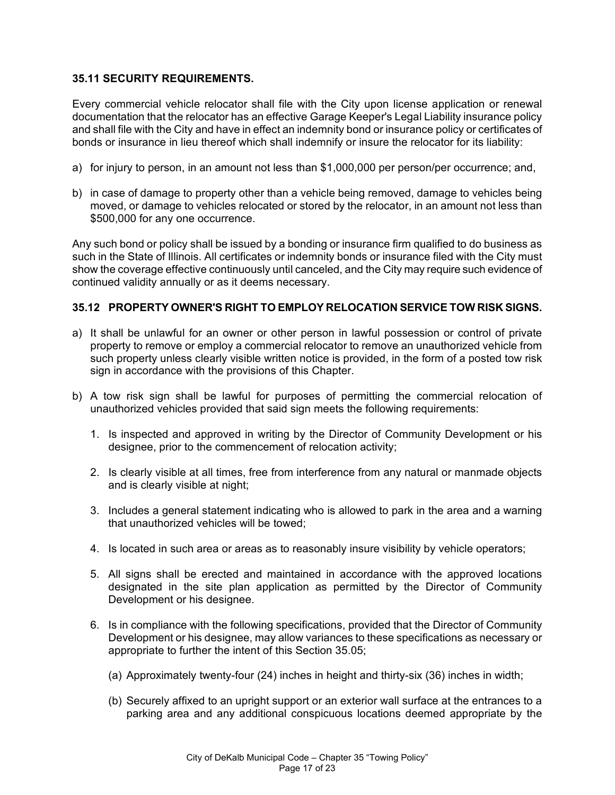### **35.11 SECURITY REQUIREMENTS.**

Every commercial vehicle relocator shall file with the City upon license application or renewal documentation that the relocator has an effective Garage Keeper's Legal Liability insurance policy and shall file with the City and have in effect an indemnity bond or insurance policy or certificates of bonds or insurance in lieu thereof which shall indemnify or insure the relocator for its liability:

- a) for injury to person, in an amount not less than \$1,000,000 per person/per occurrence; and,
- b) in case of damage to property other than a vehicle being removed, damage to vehicles being moved, or damage to vehicles relocated or stored by the relocator, in an amount not less than \$500,000 for any one occurrence.

Any such bond or policy shall be issued by a bonding or insurance firm qualified to do business as such in the State of Illinois. All certificates or indemnity bonds or insurance filed with the City must show the coverage effective continuously until canceled, and the City may require such evidence of continued validity annually or as it deems necessary.

## **35.12 PROPERTY OWNER'S RIGHT TO EMPLOY RELOCATION SERVICE TOW RISK SIGNS.**

- a) It shall be unlawful for an owner or other person in lawful possession or control of private property to remove or employ a commercial relocator to remove an unauthorized vehicle from such property unless clearly visible written notice is provided, in the form of a posted tow risk sign in accordance with the provisions of this Chapter.
- b) A tow risk sign shall be lawful for purposes of permitting the commercial relocation of unauthorized vehicles provided that said sign meets the following requirements:
	- 1. Is inspected and approved in writing by the Director of Community Development or his designee, prior to the commencement of relocation activity;
	- 2. Is clearly visible at all times, free from interference from any natural or manmade objects and is clearly visible at night;
	- 3. Includes a general statement indicating who is allowed to park in the area and a warning that unauthorized vehicles will be towed;
	- 4. Is located in such area or areas as to reasonably insure visibility by vehicle operators;
	- 5. All signs shall be erected and maintained in accordance with the approved locations designated in the site plan application as permitted by the Director of Community Development or his designee.
	- 6. Is in compliance with the following specifications, provided that the Director of Community Development or his designee, may allow variances to these specifications as necessary or appropriate to further the intent of this Section 35.05;
		- (a) Approximately twenty-four (24) inches in height and thirty-six (36) inches in width;
		- (b) Securely affixed to an upright support or an exterior wall surface at the entrances to a parking area and any additional conspicuous locations deemed appropriate by the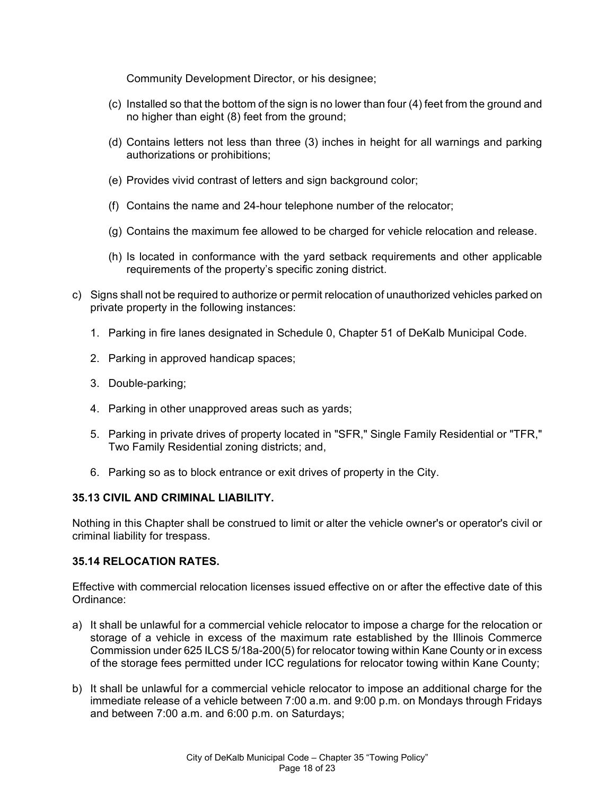Community Development Director, or his designee;

- (c) Installed so that the bottom of the sign is no lower than four (4) feet from the ground and no higher than eight (8) feet from the ground;
- (d) Contains letters not less than three (3) inches in height for all warnings and parking authorizations or prohibitions;
- (e) Provides vivid contrast of letters and sign background color;
- (f) Contains the name and 24-hour telephone number of the relocator;
- (g) Contains the maximum fee allowed to be charged for vehicle relocation and release.
- (h) Is located in conformance with the yard setback requirements and other applicable requirements of the property's specific zoning district.
- c) Signs shall not be required to authorize or permit relocation of unauthorized vehicles parked on private property in the following instances:
	- 1. Parking in fire lanes designated in Schedule 0, Chapter 51 of DeKalb Municipal Code.
	- 2. Parking in approved handicap spaces;
	- 3. Double-parking;
	- 4. Parking in other unapproved areas such as yards;
	- 5. Parking in private drives of property located in "SFR," Single Family Residential or "TFR," Two Family Residential zoning districts; and,
	- 6. Parking so as to block entrance or exit drives of property in the City.

#### **35.13 CIVIL AND CRIMINAL LIABILITY.**

Nothing in this Chapter shall be construed to limit or alter the vehicle owner's or operator's civil or criminal liability for trespass.

#### **35.14 RELOCATION RATES.**

Effective with commercial relocation licenses issued effective on or after the effective date of this Ordinance:

- a) It shall be unlawful for a commercial vehicle relocator to impose a charge for the relocation or storage of a vehicle in excess of the maximum rate established by the Illinois Commerce Commission under 625 ILCS 5/18a-200(5) for relocator towing within Kane County or in excess of the storage fees permitted under ICC regulations for relocator towing within Kane County;
- b) It shall be unlawful for a commercial vehicle relocator to impose an additional charge for the immediate release of a vehicle between 7:00 a.m. and 9:00 p.m. on Mondays through Fridays and between 7:00 a.m. and 6:00 p.m. on Saturdays;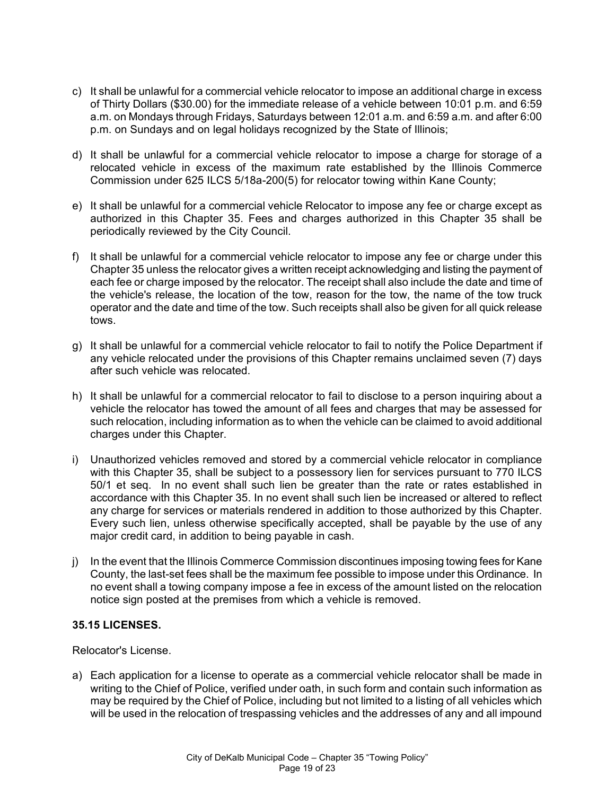- c) It shall be unlawful for a commercial vehicle relocator to impose an additional charge in excess of Thirty Dollars (\$30.00) for the immediate release of a vehicle between 10:01 p.m. and 6:59 a.m. on Mondays through Fridays, Saturdays between 12:01 a.m. and 6:59 a.m. and after 6:00 p.m. on Sundays and on legal holidays recognized by the State of Illinois;
- d) It shall be unlawful for a commercial vehicle relocator to impose a charge for storage of a relocated vehicle in excess of the maximum rate established by the Illinois Commerce Commission under 625 ILCS 5/18a-200(5) for relocator towing within Kane County;
- e) It shall be unlawful for a commercial vehicle Relocator to impose any fee or charge except as authorized in this Chapter 35. Fees and charges authorized in this Chapter 35 shall be periodically reviewed by the City Council.
- f) It shall be unlawful for a commercial vehicle relocator to impose any fee or charge under this Chapter 35 unless the relocator gives a written receipt acknowledging and listing the payment of each fee or charge imposed by the relocator. The receipt shall also include the date and time of the vehicle's release, the location of the tow, reason for the tow, the name of the tow truck operator and the date and time of the tow. Such receipts shall also be given for all quick release tows.
- g) It shall be unlawful for a commercial vehicle relocator to fail to notify the Police Department if any vehicle relocated under the provisions of this Chapter remains unclaimed seven (7) days after such vehicle was relocated.
- h) It shall be unlawful for a commercial relocator to fail to disclose to a person inquiring about a vehicle the relocator has towed the amount of all fees and charges that may be assessed for such relocation, including information as to when the vehicle can be claimed to avoid additional charges under this Chapter.
- i) Unauthorized vehicles removed and stored by a commercial vehicle relocator in compliance with this Chapter 35, shall be subject to a possessory lien for services pursuant to 770 ILCS 50/1 et seq. In no event shall such lien be greater than the rate or rates established in accordance with this Chapter 35. In no event shall such lien be increased or altered to reflect any charge for services or materials rendered in addition to those authorized by this Chapter. Every such lien, unless otherwise specifically accepted, shall be payable by the use of any major credit card, in addition to being payable in cash.
- j) In the event that the Illinois Commerce Commission discontinues imposing towing fees for Kane County, the last-set fees shall be the maximum fee possible to impose under this Ordinance. In no event shall a towing company impose a fee in excess of the amount listed on the relocation notice sign posted at the premises from which a vehicle is removed.

## **35.15 LICENSES.**

Relocator's License.

a) Each application for a license to operate as a commercial vehicle relocator shall be made in writing to the Chief of Police, verified under oath, in such form and contain such information as may be required by the Chief of Police, including but not limited to a listing of all vehicles which will be used in the relocation of trespassing vehicles and the addresses of any and all impound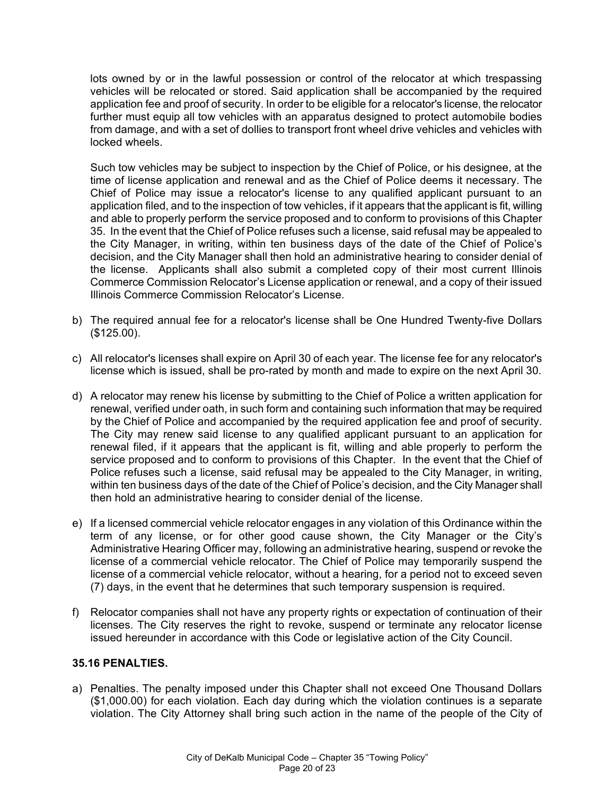lots owned by or in the lawful possession or control of the relocator at which trespassing vehicles will be relocated or stored. Said application shall be accompanied by the required application fee and proof of security. In order to be eligible for a relocator's license, the relocator further must equip all tow vehicles with an apparatus designed to protect automobile bodies from damage, and with a set of dollies to transport front wheel drive vehicles and vehicles with locked wheels.

Such tow vehicles may be subject to inspection by the Chief of Police, or his designee, at the time of license application and renewal and as the Chief of Police deems it necessary. The Chief of Police may issue a relocator's license to any qualified applicant pursuant to an application filed, and to the inspection of tow vehicles, if it appears that the applicant is fit, willing and able to properly perform the service proposed and to conform to provisions of this Chapter 35. In the event that the Chief of Police refuses such a license, said refusal may be appealed to the City Manager, in writing, within ten business days of the date of the Chief of Police's decision, and the City Manager shall then hold an administrative hearing to consider denial of the license. Applicants shall also submit a completed copy of their most current Illinois Commerce Commission Relocator's License application or renewal, and a copy of their issued Illinois Commerce Commission Relocator's License.

- b) The required annual fee for a relocator's license shall be One Hundred Twenty-five Dollars (\$125.00).
- c) All relocator's licenses shall expire on April 30 of each year. The license fee for any relocator's license which is issued, shall be pro-rated by month and made to expire on the next April 30.
- d) A relocator may renew his license by submitting to the Chief of Police a written application for renewal, verified under oath, in such form and containing such information that may be required by the Chief of Police and accompanied by the required application fee and proof of security. The City may renew said license to any qualified applicant pursuant to an application for renewal filed, if it appears that the applicant is fit, willing and able properly to perform the service proposed and to conform to provisions of this Chapter. In the event that the Chief of Police refuses such a license, said refusal may be appealed to the City Manager, in writing, within ten business days of the date of the Chief of Police's decision, and the City Manager shall then hold an administrative hearing to consider denial of the license.
- e) If a licensed commercial vehicle relocator engages in any violation of this Ordinance within the term of any license, or for other good cause shown, the City Manager or the City's Administrative Hearing Officer may, following an administrative hearing, suspend or revoke the license of a commercial vehicle relocator. The Chief of Police may temporarily suspend the license of a commercial vehicle relocator, without a hearing, for a period not to exceed seven (7) days, in the event that he determines that such temporary suspension is required.
- f) Relocator companies shall not have any property rights or expectation of continuation of their licenses. The City reserves the right to revoke, suspend or terminate any relocator license issued hereunder in accordance with this Code or legislative action of the City Council.

#### **35.16 PENALTIES.**

a) Penalties. The penalty imposed under this Chapter shall not exceed One Thousand Dollars (\$1,000.00) for each violation. Each day during which the violation continues is a separate violation. The City Attorney shall bring such action in the name of the people of the City of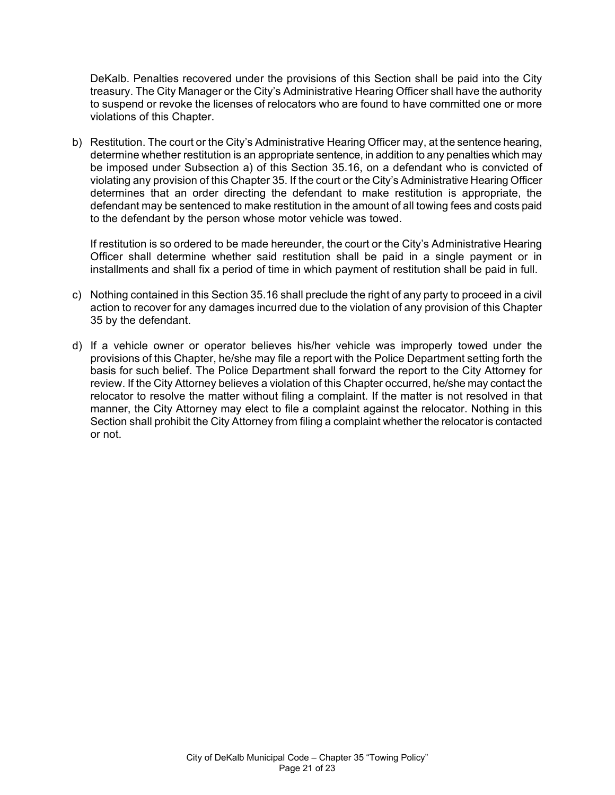DeKalb. Penalties recovered under the provisions of this Section shall be paid into the City treasury. The City Manager or the City's Administrative Hearing Officer shall have the authority to suspend or revoke the licenses of relocators who are found to have committed one or more violations of this Chapter.

b) Restitution. The court or the City's Administrative Hearing Officer may, at the sentence hearing, determine whether restitution is an appropriate sentence, in addition to any penalties which may be imposed under Subsection a) of this Section 35.16, on a defendant who is convicted of violating any provision of this Chapter 35. If the court or the City's Administrative Hearing Officer determines that an order directing the defendant to make restitution is appropriate, the defendant may be sentenced to make restitution in the amount of all towing fees and costs paid to the defendant by the person whose motor vehicle was towed.

If restitution is so ordered to be made hereunder, the court or the City's Administrative Hearing Officer shall determine whether said restitution shall be paid in a single payment or in installments and shall fix a period of time in which payment of restitution shall be paid in full.

- c) Nothing contained in this Section 35.16 shall preclude the right of any party to proceed in a civil action to recover for any damages incurred due to the violation of any provision of this Chapter 35 by the defendant.
- d) If a vehicle owner or operator believes his/her vehicle was improperly towed under the provisions of this Chapter, he/she may file a report with the Police Department setting forth the basis for such belief. The Police Department shall forward the report to the City Attorney for review. If the City Attorney believes a violation of this Chapter occurred, he/she may contact the relocator to resolve the matter without filing a complaint. If the matter is not resolved in that manner, the City Attorney may elect to file a complaint against the relocator. Nothing in this Section shall prohibit the City Attorney from filing a complaint whether the relocator is contacted or not.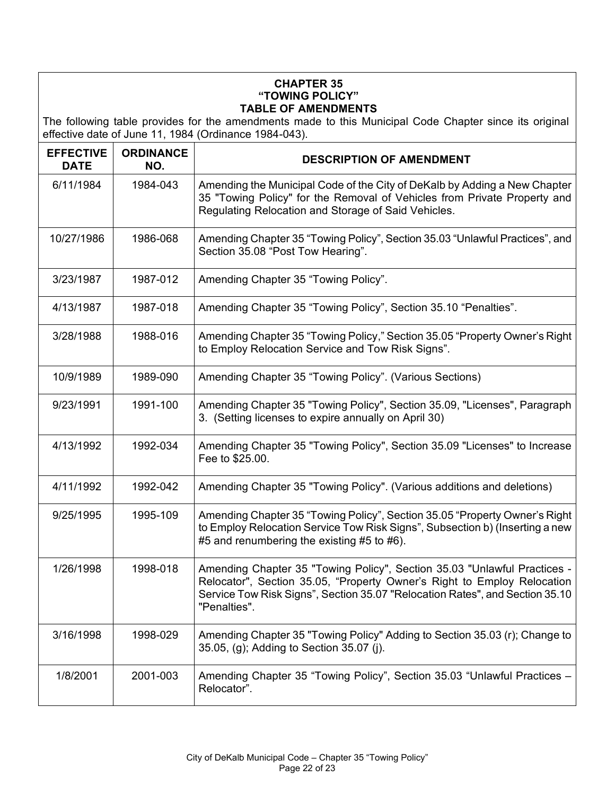### **CHAPTER 35 "TOWING POLICY" TABLE OF AMENDMENTS**

The following table provides for the amendments made to this Municipal Code Chapter since its original effective date of June 11, 1984 (Ordinance 1984-043).

| <b>EFFECTIVE</b><br><b>DATE</b> | <b>ORDINANCE</b><br>NO. | <b>DESCRIPTION OF AMENDMENT</b>                                                                                                                                                                                                                     |
|---------------------------------|-------------------------|-----------------------------------------------------------------------------------------------------------------------------------------------------------------------------------------------------------------------------------------------------|
| 6/11/1984                       | 1984-043                | Amending the Municipal Code of the City of DeKalb by Adding a New Chapter<br>35 "Towing Policy" for the Removal of Vehicles from Private Property and<br>Regulating Relocation and Storage of Said Vehicles.                                        |
| 10/27/1986                      | 1986-068                | Amending Chapter 35 "Towing Policy", Section 35.03 "Unlawful Practices", and<br>Section 35.08 "Post Tow Hearing".                                                                                                                                   |
| 3/23/1987                       | 1987-012                | Amending Chapter 35 "Towing Policy".                                                                                                                                                                                                                |
| 4/13/1987                       | 1987-018                | Amending Chapter 35 "Towing Policy", Section 35.10 "Penalties".                                                                                                                                                                                     |
| 3/28/1988                       | 1988-016                | Amending Chapter 35 "Towing Policy," Section 35.05 "Property Owner's Right<br>to Employ Relocation Service and Tow Risk Signs".                                                                                                                     |
| 10/9/1989                       | 1989-090                | Amending Chapter 35 "Towing Policy". (Various Sections)                                                                                                                                                                                             |
| 9/23/1991                       | 1991-100                | Amending Chapter 35 "Towing Policy", Section 35.09, "Licenses", Paragraph<br>3. (Setting licenses to expire annually on April 30)                                                                                                                   |
| 4/13/1992                       | 1992-034                | Amending Chapter 35 "Towing Policy", Section 35.09 "Licenses" to Increase<br>Fee to \$25.00.                                                                                                                                                        |
| 4/11/1992                       | 1992-042                | Amending Chapter 35 "Towing Policy". (Various additions and deletions)                                                                                                                                                                              |
| 9/25/1995                       | 1995-109                | Amending Chapter 35 "Towing Policy", Section 35.05 "Property Owner's Right<br>to Employ Relocation Service Tow Risk Signs", Subsection b) (Inserting a new<br>#5 and renumbering the existing #5 to #6).                                            |
| 1/26/1998                       | 1998-018                | Amending Chapter 35 "Towing Policy", Section 35.03 "Unlawful Practices -<br>Relocator", Section 35.05, "Property Owner's Right to Employ Relocation<br>Service Tow Risk Signs", Section 35.07 "Relocation Rates", and Section 35.10<br>"Penalties". |
| 3/16/1998                       | 1998-029                | Amending Chapter 35 "Towing Policy" Adding to Section 35.03 (r); Change to<br>35.05, (g); Adding to Section 35.07 (j).                                                                                                                              |
| 1/8/2001                        | 2001-003                | Amending Chapter 35 "Towing Policy", Section 35.03 "Unlawful Practices -<br>Relocator".                                                                                                                                                             |